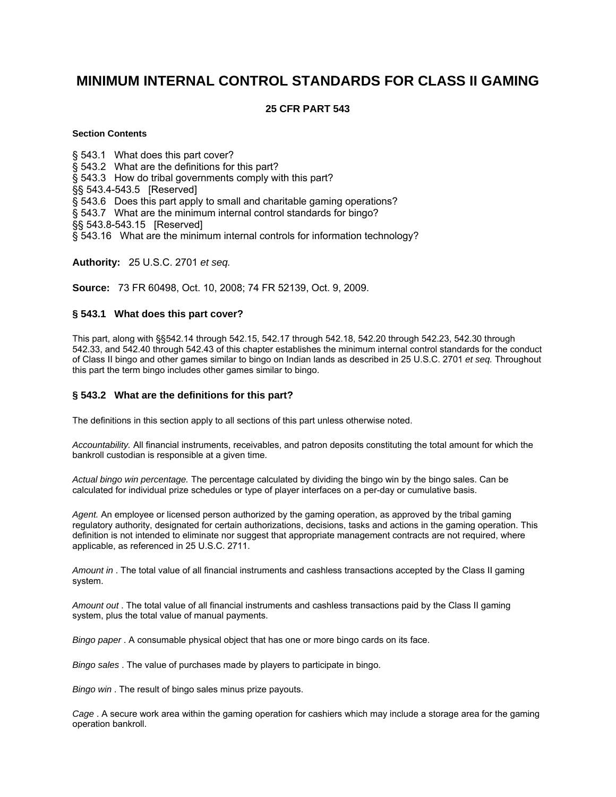# **MINIMUM INTERNAL CONTROL STANDARDS FOR CLASS II GAMING**

# **25 CFR PART 543**

## **Section Contents**

[§ 543.1 What does this part cover?](http://ecfr.gpoaccess.gov/cgi/t/text/text-idx?c=ecfr&sid=a359eb929044b17e79654f270f206941&rgn=div5&view=text&node=25:2.0.2.4.29&idno=25#25:2.0.2.4.29.0.2.1#25:2.0.2.4.29.0.2.1) [§ 543.2 What are the definitions for this part?](http://ecfr.gpoaccess.gov/cgi/t/text/text-idx?c=ecfr&sid=a359eb929044b17e79654f270f206941&rgn=div5&view=text&node=25:2.0.2.4.29&idno=25#25:2.0.2.4.29.0.2.2#25:2.0.2.4.29.0.2.2) [§ 543.3 How do tribal governments comply with this part?](http://ecfr.gpoaccess.gov/cgi/t/text/text-idx?c=ecfr&sid=a359eb929044b17e79654f270f206941&rgn=div5&view=text&node=25:2.0.2.4.29&idno=25#25:2.0.2.4.29.0.2.3#25:2.0.2.4.29.0.2.3) [§§ 543.4-543.5 \[Reserved\]](http://ecfr.gpoaccess.gov/cgi/t/text/text-idx?c=ecfr&sid=a359eb929044b17e79654f270f206941&rgn=div5&view=text&node=25:2.0.2.4.29&idno=25#25:2.0.2.4.29.0.2.4#25:2.0.2.4.29.0.2.4) [§ 543.6 Does this part apply to small and charitable gaming operations?](http://ecfr.gpoaccess.gov/cgi/t/text/text-idx?c=ecfr&sid=a359eb929044b17e79654f270f206941&rgn=div5&view=text&node=25:2.0.2.4.29&idno=25#25:2.0.2.4.29.0.2.5#25:2.0.2.4.29.0.2.5) [§ 543.7 What are the minimum internal control standards for bingo?](http://ecfr.gpoaccess.gov/cgi/t/text/text-idx?c=ecfr&sid=a359eb929044b17e79654f270f206941&rgn=div5&view=text&node=25:2.0.2.4.29&idno=25#25:2.0.2.4.29.0.2.6#25:2.0.2.4.29.0.2.6) [§§ 543.8-543.15 \[Reserved\]](http://ecfr.gpoaccess.gov/cgi/t/text/text-idx?c=ecfr&sid=a359eb929044b17e79654f270f206941&rgn=div5&view=text&node=25:2.0.2.4.29&idno=25#25:2.0.2.4.29.0.2.7#25:2.0.2.4.29.0.2.7) [§ 543.16 What are the minimum internal controls for information technology?](http://ecfr.gpoaccess.gov/cgi/t/text/text-idx?c=ecfr&sid=a359eb929044b17e79654f270f206941&rgn=div5&view=text&node=25:2.0.2.4.29&idno=25#25:2.0.2.4.29.0.2.8#25:2.0.2.4.29.0.2.8)

**Authority:** 25 U.S.C. 2701 *et seq.* 

**Source:** 73 FR 60498, Oct. 10, 2008; 74 FR 52139, Oct. 9, 2009.

## **§ 543.1 What does this part cover?**

This part, along with §§542.14 through 542.15, 542.17 through 542.18, 542.20 through 542.23, 542.30 through 542.33, and 542.40 through 542.43 of this chapter establishes the minimum internal control standards for the conduct of Class II bingo and other games similar to bingo on Indian lands as described in 25 U.S.C. 2701 *et seq.* Throughout this part the term bingo includes other games similar to bingo.

## **§ 543.2 What are the definitions for this part?**

The definitions in this section apply to all sections of this part unless otherwise noted.

*Accountability.* All financial instruments, receivables, and patron deposits constituting the total amount for which the bankroll custodian is responsible at a given time.

*Actual bingo win percentage.* The percentage calculated by dividing the bingo win by the bingo sales. Can be calculated for individual prize schedules or type of player interfaces on a per-day or cumulative basis.

*Agent.* An employee or licensed person authorized by the gaming operation, as approved by the tribal gaming regulatory authority, designated for certain authorizations, decisions, tasks and actions in the gaming operation. This definition is not intended to eliminate nor suggest that appropriate management contracts are not required, where applicable, as referenced in 25 U.S.C. 2711.

*Amount in* . The total value of all financial instruments and cashless transactions accepted by the Class II gaming system.

*Amount out* . The total value of all financial instruments and cashless transactions paid by the Class II gaming system, plus the total value of manual payments.

*Bingo paper* . A consumable physical object that has one or more bingo cards on its face.

*Bingo sales* . The value of purchases made by players to participate in bingo.

*Bingo win* . The result of bingo sales minus prize payouts.

*Cage* . A secure work area within the gaming operation for cashiers which may include a storage area for the gaming operation bankroll.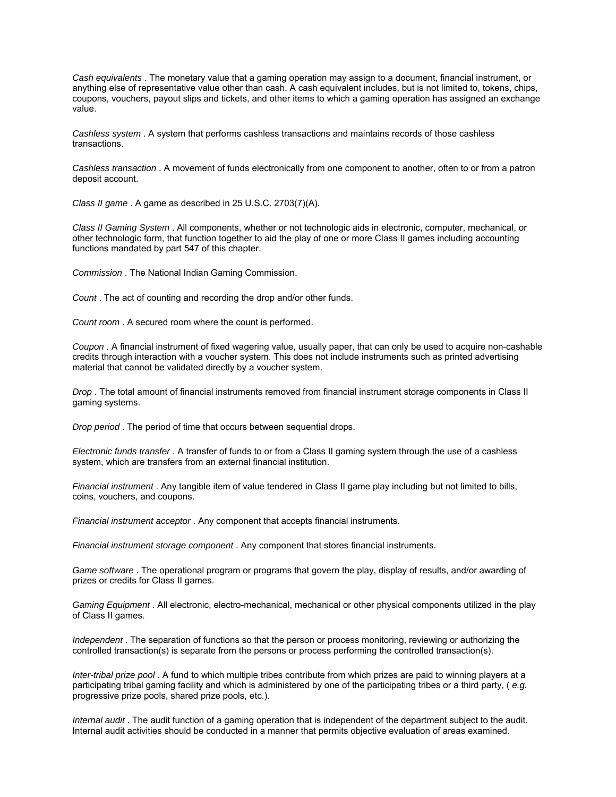*Cash equivalents* . The monetary value that a gaming operation may assign to a document, financial instrument, or anything else of representative value other than cash. A cash equivalent includes, but is not limited to, tokens, chips, coupons, vouchers, payout slips and tickets, and other items to which a gaming operation has assigned an exchange value.

*Cashless system* . A system that performs cashless transactions and maintains records of those cashless transactions.

*Cashless transaction* . A movement of funds electronically from one component to another, often to or from a patron deposit account.

*Class II game* . A game as described in 25 U.S.C. 2703(7)(A).

*Class II Gaming System* . All components, whether or not technologic aids in electronic, computer, mechanical, or other technologic form, that function together to aid the play of one or more Class II games including accounting functions mandated by part 547 of this chapter.

*Commission* . The National Indian Gaming Commission.

*Count* . The act of counting and recording the drop and/or other funds.

*Count room* . A secured room where the count is performed.

*Coupon* . A financial instrument of fixed wagering value, usually paper, that can only be used to acquire non-cashable credits through interaction with a voucher system. This does not include instruments such as printed advertising material that cannot be validated directly by a voucher system.

*Drop* . The total amount of financial instruments removed from financial instrument storage components in Class II gaming systems.

*Drop period* . The period of time that occurs between sequential drops.

*Electronic funds transfer* . A transfer of funds to or from a Class II gaming system through the use of a cashless system, which are transfers from an external financial institution.

*Financial instrument* . Any tangible item of value tendered in Class II game play including but not limited to bills, coins, vouchers, and coupons.

*Financial instrument acceptor* . Any component that accepts financial instruments.

*Financial instrument storage component* . Any component that stores financial instruments.

*Game software* . The operational program or programs that govern the play, display of results, and/or awarding of prizes or credits for Class II games.

*Gaming Equipment* . All electronic, electro-mechanical, mechanical or other physical components utilized in the play of Class II games.

*Independent* . The separation of functions so that the person or process monitoring, reviewing or authorizing the controlled transaction(s) is separate from the persons or process performing the controlled transaction(s).

*Inter-tribal prize pool* . A fund to which multiple tribes contribute from which prizes are paid to winning players at a participating tribal gaming facility and which is administered by one of the participating tribes or a third party, ( *e.g.*  progressive prize pools, shared prize pools, etc.).

*Internal audit* . The audit function of a gaming operation that is independent of the department subject to the audit. Internal audit activities should be conducted in a manner that permits objective evaluation of areas examined.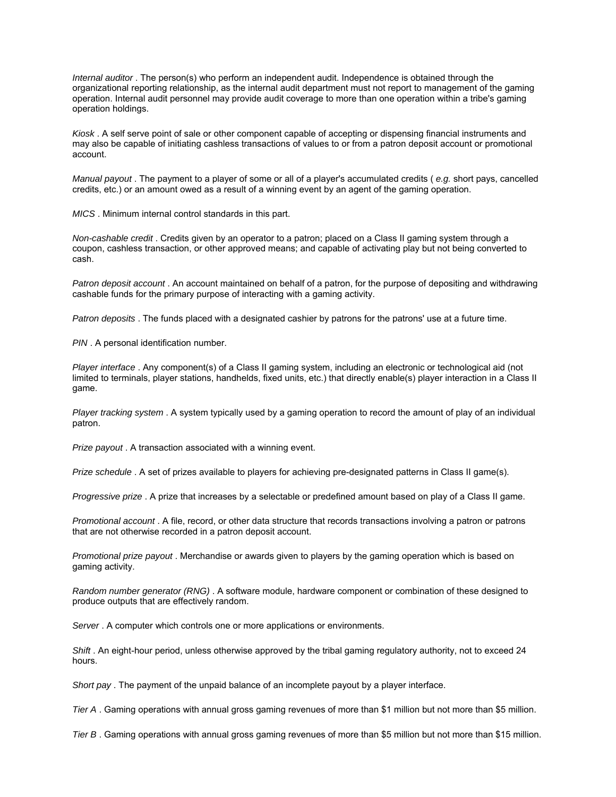*Internal auditor* . The person(s) who perform an independent audit. Independence is obtained through the organizational reporting relationship, as the internal audit department must not report to management of the gaming operation. Internal audit personnel may provide audit coverage to more than one operation within a tribe's gaming operation holdings.

*Kiosk* . A self serve point of sale or other component capable of accepting or dispensing financial instruments and may also be capable of initiating cashless transactions of values to or from a patron deposit account or promotional account.

*Manual payout* . The payment to a player of some or all of a player's accumulated credits ( *e.g.* short pays, cancelled credits, etc.) or an amount owed as a result of a winning event by an agent of the gaming operation.

*MICS* . Minimum internal control standards in this part.

*Non-cashable credit* . Credits given by an operator to a patron; placed on a Class II gaming system through a coupon, cashless transaction, or other approved means; and capable of activating play but not being converted to cash.

*Patron deposit account* . An account maintained on behalf of a patron, for the purpose of depositing and withdrawing cashable funds for the primary purpose of interacting with a gaming activity.

*Patron deposits* . The funds placed with a designated cashier by patrons for the patrons' use at a future time.

**PIN** . A personal identification number.

*Player interface* . Any component(s) of a Class II gaming system, including an electronic or technological aid (not limited to terminals, player stations, handhelds, fixed units, etc.) that directly enable(s) player interaction in a Class II game.

*Player tracking system* . A system typically used by a gaming operation to record the amount of play of an individual patron.

*Prize payout* . A transaction associated with a winning event.

*Prize schedule* . A set of prizes available to players for achieving pre-designated patterns in Class II game(s).

*Progressive prize* . A prize that increases by a selectable or predefined amount based on play of a Class II game.

*Promotional account* . A file, record, or other data structure that records transactions involving a patron or patrons that are not otherwise recorded in a patron deposit account.

*Promotional prize payout* . Merchandise or awards given to players by the gaming operation which is based on gaming activity.

*Random number generator (RNG)* . A software module, hardware component or combination of these designed to produce outputs that are effectively random.

*Server* . A computer which controls one or more applications or environments.

*Shift* . An eight-hour period, unless otherwise approved by the tribal gaming regulatory authority, not to exceed 24 hours.

*Short pay* . The payment of the unpaid balance of an incomplete payout by a player interface.

*Tier A* . Gaming operations with annual gross gaming revenues of more than \$1 million but not more than \$5 million.

*Tier B* . Gaming operations with annual gross gaming revenues of more than \$5 million but not more than \$15 million.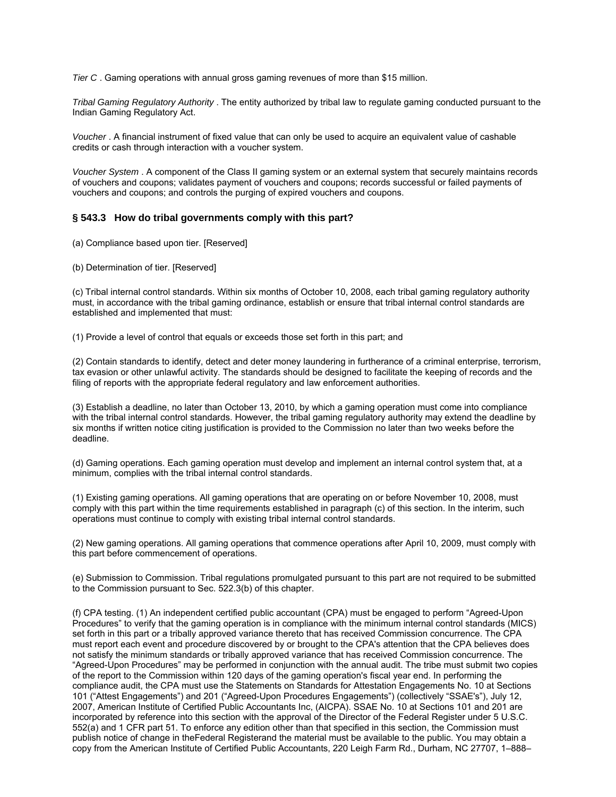*Tier C* . Gaming operations with annual gross gaming revenues of more than \$15 million.

*Tribal Gaming Regulatory Authority* . The entity authorized by tribal law to regulate gaming conducted pursuant to the Indian Gaming Regulatory Act.

*Voucher* . A financial instrument of fixed value that can only be used to acquire an equivalent value of cashable credits or cash through interaction with a voucher system.

*Voucher System* . A component of the Class II gaming system or an external system that securely maintains records of vouchers and coupons; validates payment of vouchers and coupons; records successful or failed payments of vouchers and coupons; and controls the purging of expired vouchers and coupons.

#### **§ 543.3 How do tribal governments comply with this part?**

(a) Compliance based upon tier. [Reserved]

(b) Determination of tier. [Reserved]

(c) Tribal internal control standards. Within six months of October 10, 2008, each tribal gaming regulatory authority must, in accordance with the tribal gaming ordinance, establish or ensure that tribal internal control standards are established and implemented that must:

(1) Provide a level of control that equals or exceeds those set forth in this part; and

(2) Contain standards to identify, detect and deter money laundering in furtherance of a criminal enterprise, terrorism, tax evasion or other unlawful activity. The standards should be designed to facilitate the keeping of records and the filing of reports with the appropriate federal regulatory and law enforcement authorities.

(3) Establish a deadline, no later than October 13, 2010, by which a gaming operation must come into compliance with the tribal internal control standards. However, the tribal gaming regulatory authority may extend the deadline by six months if written notice citing justification is provided to the Commission no later than two weeks before the deadline.

(d) Gaming operations. Each gaming operation must develop and implement an internal control system that, at a minimum, complies with the tribal internal control standards.

(1) Existing gaming operations. All gaming operations that are operating on or before November 10, 2008, must comply with this part within the time requirements established in paragraph (c) of this section. In the interim, such operations must continue to comply with existing tribal internal control standards.

(2) New gaming operations. All gaming operations that commence operations after April 10, 2009, must comply with this part before commencement of operations.

(e) Submission to Commission. Tribal regulations promulgated pursuant to this part are not required to be submitted to the Commission pursuant to Sec. 522.3(b) of this chapter.

(f) CPA testing. (1) An independent certified public accountant (CPA) must be engaged to perform "Agreed-Upon Procedures" to verify that the gaming operation is in compliance with the minimum internal control standards (MICS) set forth in this part or a tribally approved variance thereto that has received Commission concurrence. The CPA must report each event and procedure discovered by or brought to the CPA's attention that the CPA believes does not satisfy the minimum standards or tribally approved variance that has received Commission concurrence. The "Agreed-Upon Procedures" may be performed in conjunction with the annual audit. The tribe must submit two copies of the report to the Commission within 120 days of the gaming operation's fiscal year end. In performing the compliance audit, the CPA must use the Statements on Standards for Attestation Engagements No. 10 at Sections 101 ("Attest Engagements") and 201 ("Agreed-Upon Procedures Engagements") (collectively "SSAE's"), July 12, 2007, American Institute of Certified Public Accountants Inc, (AICPA). SSAE No. 10 at Sections 101 and 201 are incorporated by reference into this section with the approval of the Director of the Federal Register under 5 U.S.C. 552(a) and 1 CFR part 51. To enforce any edition other than that specified in this section, the Commission must publish notice of change in theFederal Registerand the material must be available to the public. You may obtain a copy from the American Institute of Certified Public Accountants, 220 Leigh Farm Rd., Durham, NC 27707, 1–888–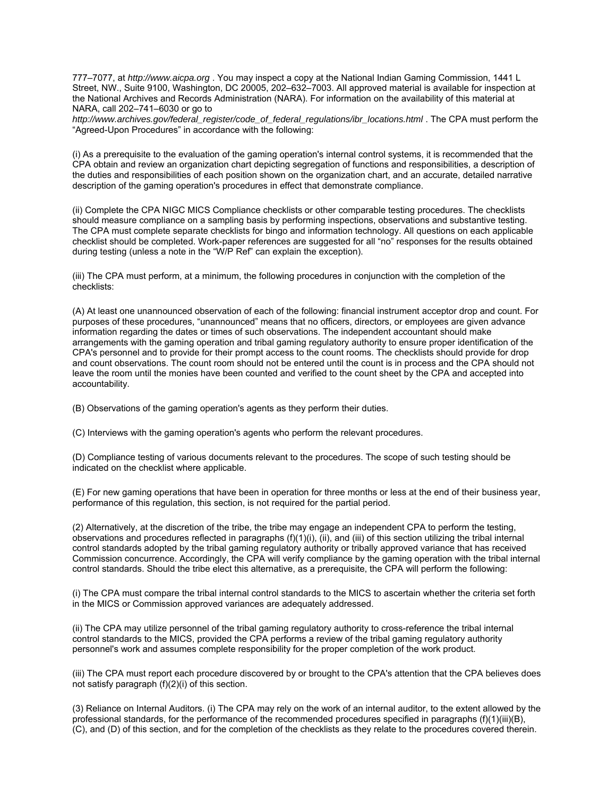777–7077, at *http://www.aicpa.org* . You may inspect a copy at the National Indian Gaming Commission, 1441 L Street, NW., Suite 9100, Washington, DC 20005, 202–632–7003. All approved material is available for inspection at the National Archives and Records Administration (NARA). For information on the availability of this material at NARA, call 202–741–6030 or go to

*http://www.archives.gov/federal\_register/code\_of\_federal\_regulations/ibr\_locations.html* . The CPA must perform the "Agreed-Upon Procedures" in accordance with the following:

(i) As a prerequisite to the evaluation of the gaming operation's internal control systems, it is recommended that the CPA obtain and review an organization chart depicting segregation of functions and responsibilities, a description of the duties and responsibilities of each position shown on the organization chart, and an accurate, detailed narrative description of the gaming operation's procedures in effect that demonstrate compliance.

(ii) Complete the CPA NIGC MICS Compliance checklists or other comparable testing procedures. The checklists should measure compliance on a sampling basis by performing inspections, observations and substantive testing. The CPA must complete separate checklists for bingo and information technology. All questions on each applicable checklist should be completed. Work-paper references are suggested for all "no" responses for the results obtained during testing (unless a note in the "W/P Ref" can explain the exception).

(iii) The CPA must perform, at a minimum, the following procedures in conjunction with the completion of the checklists:

(A) At least one unannounced observation of each of the following: financial instrument acceptor drop and count. For purposes of these procedures, "unannounced" means that no officers, directors, or employees are given advance information regarding the dates or times of such observations. The independent accountant should make arrangements with the gaming operation and tribal gaming regulatory authority to ensure proper identification of the CPA's personnel and to provide for their prompt access to the count rooms. The checklists should provide for drop and count observations. The count room should not be entered until the count is in process and the CPA should not leave the room until the monies have been counted and verified to the count sheet by the CPA and accepted into accountability.

(B) Observations of the gaming operation's agents as they perform their duties.

(C) Interviews with the gaming operation's agents who perform the relevant procedures.

(D) Compliance testing of various documents relevant to the procedures. The scope of such testing should be indicated on the checklist where applicable.

(E) For new gaming operations that have been in operation for three months or less at the end of their business year, performance of this regulation, this section, is not required for the partial period.

(2) Alternatively, at the discretion of the tribe, the tribe may engage an independent CPA to perform the testing, observations and procedures reflected in paragraphs  $(f)(1)(i)$ ,  $(ii)$ , and  $(iii)$  of this section utilizing the tribal internal control standards adopted by the tribal gaming regulatory authority or tribally approved variance that has received Commission concurrence. Accordingly, the CPA will verify compliance by the gaming operation with the tribal internal control standards. Should the tribe elect this alternative, as a prerequisite, the CPA will perform the following:

(i) The CPA must compare the tribal internal control standards to the MICS to ascertain whether the criteria set forth in the MICS or Commission approved variances are adequately addressed.

(ii) The CPA may utilize personnel of the tribal gaming regulatory authority to cross-reference the tribal internal control standards to the MICS, provided the CPA performs a review of the tribal gaming regulatory authority personnel's work and assumes complete responsibility for the proper completion of the work product.

(iii) The CPA must report each procedure discovered by or brought to the CPA's attention that the CPA believes does not satisfy paragraph (f)(2)(i) of this section.

(3) Reliance on Internal Auditors. (i) The CPA may rely on the work of an internal auditor, to the extent allowed by the professional standards, for the performance of the recommended procedures specified in paragraphs (f)(1)(iii)(B), (C), and (D) of this section, and for the completion of the checklists as they relate to the procedures covered therein.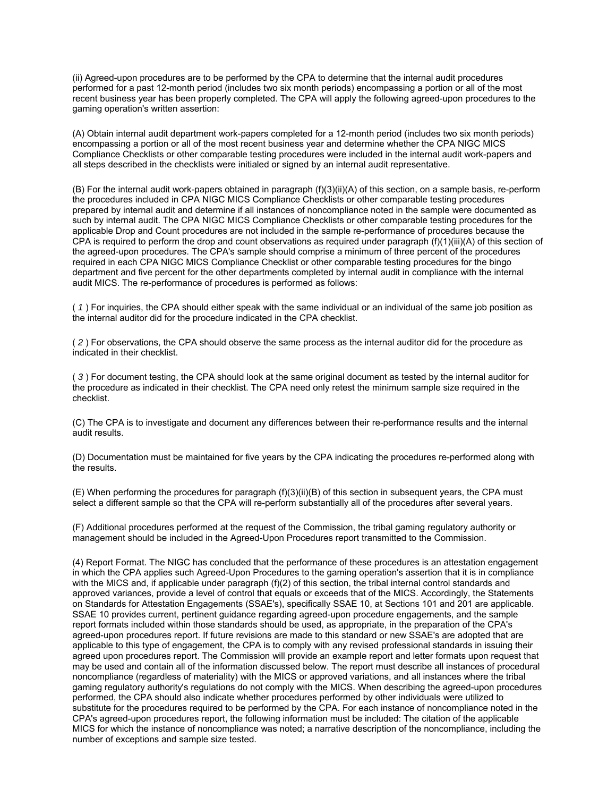(ii) Agreed-upon procedures are to be performed by the CPA to determine that the internal audit procedures performed for a past 12-month period (includes two six month periods) encompassing a portion or all of the most recent business year has been properly completed. The CPA will apply the following agreed-upon procedures to the gaming operation's written assertion:

(A) Obtain internal audit department work-papers completed for a 12-month period (includes two six month periods) encompassing a portion or all of the most recent business year and determine whether the CPA NIGC MICS Compliance Checklists or other comparable testing procedures were included in the internal audit work-papers and all steps described in the checklists were initialed or signed by an internal audit representative.

(B) For the internal audit work-papers obtained in paragraph (f)(3)(ii)(A) of this section, on a sample basis, re-perform the procedures included in CPA NIGC MICS Compliance Checklists or other comparable testing procedures prepared by internal audit and determine if all instances of noncompliance noted in the sample were documented as such by internal audit. The CPA NIGC MICS Compliance Checklists or other comparable testing procedures for the applicable Drop and Count procedures are not included in the sample re-performance of procedures because the CPA is required to perform the drop and count observations as required under paragraph  $(f)(1)(iii)(A)$  of this section of the agreed-upon procedures. The CPA's sample should comprise a minimum of three percent of the procedures required in each CPA NIGC MICS Compliance Checklist or other comparable testing procedures for the bingo department and five percent for the other departments completed by internal audit in compliance with the internal audit MICS. The re-performance of procedures is performed as follows:

( *1* ) For inquiries, the CPA should either speak with the same individual or an individual of the same job position as the internal auditor did for the procedure indicated in the CPA checklist.

( *2* ) For observations, the CPA should observe the same process as the internal auditor did for the procedure as indicated in their checklist.

( *3* ) For document testing, the CPA should look at the same original document as tested by the internal auditor for the procedure as indicated in their checklist. The CPA need only retest the minimum sample size required in the checklist.

(C) The CPA is to investigate and document any differences between their re-performance results and the internal audit results.

(D) Documentation must be maintained for five years by the CPA indicating the procedures re-performed along with the results.

(E) When performing the procedures for paragraph (f)(3)(ii)(B) of this section in subsequent years, the CPA must select a different sample so that the CPA will re-perform substantially all of the procedures after several years.

(F) Additional procedures performed at the request of the Commission, the tribal gaming regulatory authority or management should be included in the Agreed-Upon Procedures report transmitted to the Commission.

(4) Report Format. The NIGC has concluded that the performance of these procedures is an attestation engagement in which the CPA applies such Agreed-Upon Procedures to the gaming operation's assertion that it is in compliance with the MICS and, if applicable under paragraph (f)(2) of this section, the tribal internal control standards and approved variances, provide a level of control that equals or exceeds that of the MICS. Accordingly, the Statements on Standards for Attestation Engagements (SSAE's), specifically SSAE 10, at Sections 101 and 201 are applicable. SSAE 10 provides current, pertinent guidance regarding agreed-upon procedure engagements, and the sample report formats included within those standards should be used, as appropriate, in the preparation of the CPA's agreed-upon procedures report. If future revisions are made to this standard or new SSAE's are adopted that are applicable to this type of engagement, the CPA is to comply with any revised professional standards in issuing their agreed upon procedures report. The Commission will provide an example report and letter formats upon request that may be used and contain all of the information discussed below. The report must describe all instances of procedural noncompliance (regardless of materiality) with the MICS or approved variations, and all instances where the tribal gaming regulatory authority's regulations do not comply with the MICS. When describing the agreed-upon procedures performed, the CPA should also indicate whether procedures performed by other individuals were utilized to substitute for the procedures required to be performed by the CPA. For each instance of noncompliance noted in the CPA's agreed-upon procedures report, the following information must be included: The citation of the applicable MICS for which the instance of noncompliance was noted; a narrative description of the noncompliance, including the number of exceptions and sample size tested.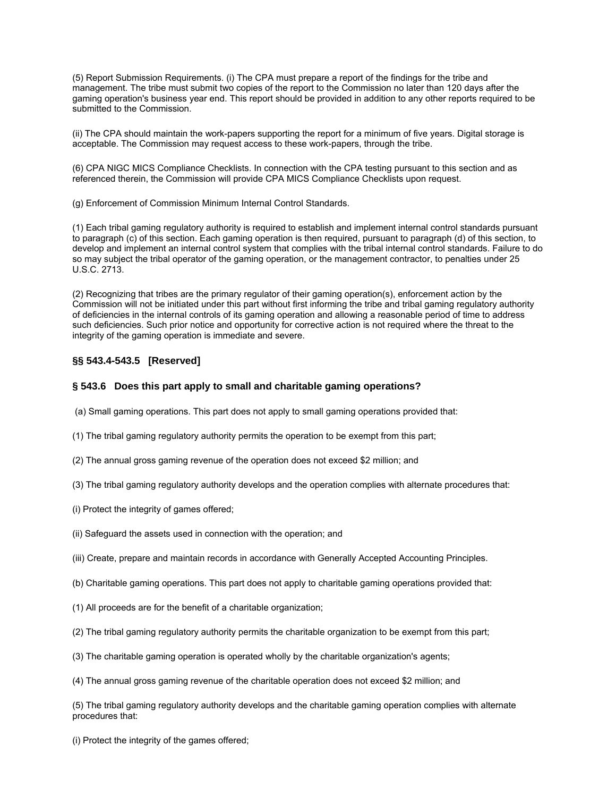(5) Report Submission Requirements. (i) The CPA must prepare a report of the findings for the tribe and management. The tribe must submit two copies of the report to the Commission no later than 120 days after the gaming operation's business year end. This report should be provided in addition to any other reports required to be submitted to the Commission.

(ii) The CPA should maintain the work-papers supporting the report for a minimum of five years. Digital storage is acceptable. The Commission may request access to these work-papers, through the tribe.

(6) CPA NIGC MICS Compliance Checklists. In connection with the CPA testing pursuant to this section and as referenced therein, the Commission will provide CPA MICS Compliance Checklists upon request.

(g) Enforcement of Commission Minimum Internal Control Standards.

(1) Each tribal gaming regulatory authority is required to establish and implement internal control standards pursuant to paragraph (c) of this section. Each gaming operation is then required, pursuant to paragraph (d) of this section, to develop and implement an internal control system that complies with the tribal internal control standards. Failure to do so may subject the tribal operator of the gaming operation, or the management contractor, to penalties under 25 U.S.C. 2713.

(2) Recognizing that tribes are the primary regulator of their gaming operation(s), enforcement action by the Commission will not be initiated under this part without first informing the tribe and tribal gaming regulatory authority of deficiencies in the internal controls of its gaming operation and allowing a reasonable period of time to address such deficiencies. Such prior notice and opportunity for corrective action is not required where the threat to the integrity of the gaming operation is immediate and severe.

## **§§ 543.4-543.5 [Reserved]**

## **§ 543.6 Does this part apply to small and charitable gaming operations?**

- (a) Small gaming operations. This part does not apply to small gaming operations provided that:
- (1) The tribal gaming regulatory authority permits the operation to be exempt from this part;
- (2) The annual gross gaming revenue of the operation does not exceed \$2 million; and
- (3) The tribal gaming regulatory authority develops and the operation complies with alternate procedures that:
- (i) Protect the integrity of games offered;
- (ii) Safeguard the assets used in connection with the operation; and
- (iii) Create, prepare and maintain records in accordance with Generally Accepted Accounting Principles.
- (b) Charitable gaming operations. This part does not apply to charitable gaming operations provided that:
- (1) All proceeds are for the benefit of a charitable organization;
- (2) The tribal gaming regulatory authority permits the charitable organization to be exempt from this part;
- (3) The charitable gaming operation is operated wholly by the charitable organization's agents;
- (4) The annual gross gaming revenue of the charitable operation does not exceed \$2 million; and

(5) The tribal gaming regulatory authority develops and the charitable gaming operation complies with alternate procedures that:

(i) Protect the integrity of the games offered;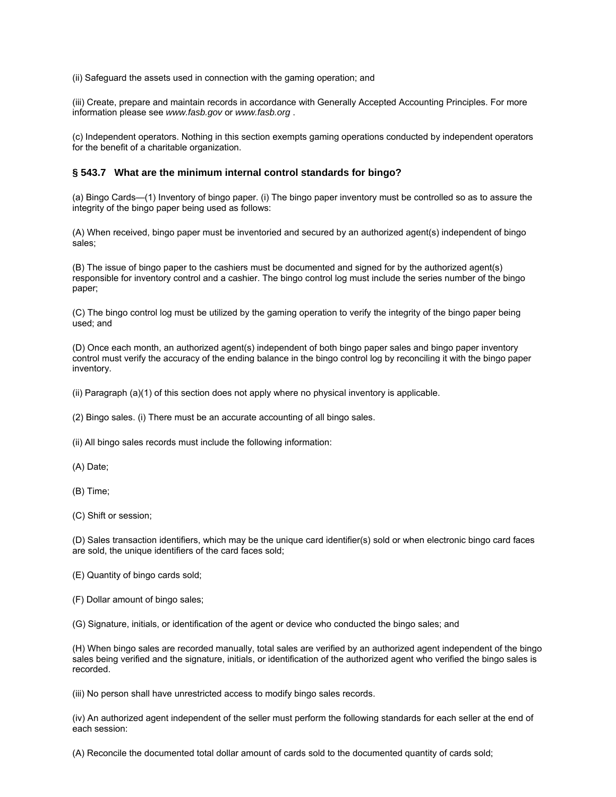(ii) Safeguard the assets used in connection with the gaming operation; and

(iii) Create, prepare and maintain records in accordance with Generally Accepted Accounting Principles. For more information please see *www.fasb.gov* or *www.fasb.org* .

(c) Independent operators. Nothing in this section exempts gaming operations conducted by independent operators for the benefit of a charitable organization.

## **§ 543.7 What are the minimum internal control standards for bingo?**

(a) Bingo Cards—(1) Inventory of bingo paper. (i) The bingo paper inventory must be controlled so as to assure the integrity of the bingo paper being used as follows:

(A) When received, bingo paper must be inventoried and secured by an authorized agent(s) independent of bingo sales;

(B) The issue of bingo paper to the cashiers must be documented and signed for by the authorized agent(s) responsible for inventory control and a cashier. The bingo control log must include the series number of the bingo paper;

(C) The bingo control log must be utilized by the gaming operation to verify the integrity of the bingo paper being used; and

(D) Once each month, an authorized agent(s) independent of both bingo paper sales and bingo paper inventory control must verify the accuracy of the ending balance in the bingo control log by reconciling it with the bingo paper inventory.

(ii) Paragraph (a)(1) of this section does not apply where no physical inventory is applicable.

(2) Bingo sales. (i) There must be an accurate accounting of all bingo sales.

(ii) All bingo sales records must include the following information:

(A) Date;

(B) Time;

(C) Shift or session;

(D) Sales transaction identifiers, which may be the unique card identifier(s) sold or when electronic bingo card faces are sold, the unique identifiers of the card faces sold;

(E) Quantity of bingo cards sold;

(F) Dollar amount of bingo sales;

(G) Signature, initials, or identification of the agent or device who conducted the bingo sales; and

(H) When bingo sales are recorded manually, total sales are verified by an authorized agent independent of the bingo sales being verified and the signature, initials, or identification of the authorized agent who verified the bingo sales is recorded.

(iii) No person shall have unrestricted access to modify bingo sales records.

(iv) An authorized agent independent of the seller must perform the following standards for each seller at the end of each session:

(A) Reconcile the documented total dollar amount of cards sold to the documented quantity of cards sold;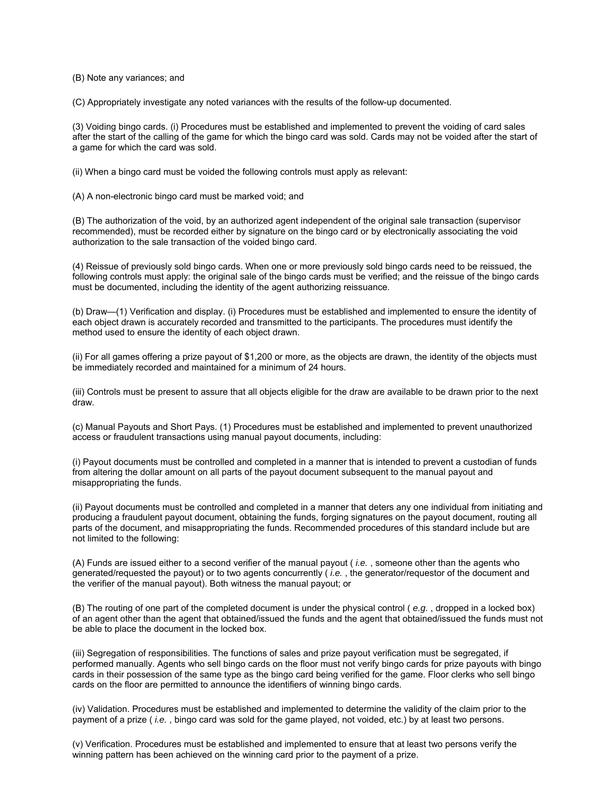(B) Note any variances; and

(C) Appropriately investigate any noted variances with the results of the follow-up documented.

(3) Voiding bingo cards. (i) Procedures must be established and implemented to prevent the voiding of card sales after the start of the calling of the game for which the bingo card was sold. Cards may not be voided after the start of a game for which the card was sold.

(ii) When a bingo card must be voided the following controls must apply as relevant:

(A) A non-electronic bingo card must be marked void; and

(B) The authorization of the void, by an authorized agent independent of the original sale transaction (supervisor recommended), must be recorded either by signature on the bingo card or by electronically associating the void authorization to the sale transaction of the voided bingo card.

(4) Reissue of previously sold bingo cards. When one or more previously sold bingo cards need to be reissued, the following controls must apply: the original sale of the bingo cards must be verified; and the reissue of the bingo cards must be documented, including the identity of the agent authorizing reissuance.

(b) Draw—(1) Verification and display. (i) Procedures must be established and implemented to ensure the identity of each object drawn is accurately recorded and transmitted to the participants. The procedures must identify the method used to ensure the identity of each object drawn.

(ii) For all games offering a prize payout of \$1,200 or more, as the objects are drawn, the identity of the objects must be immediately recorded and maintained for a minimum of 24 hours.

(iii) Controls must be present to assure that all objects eligible for the draw are available to be drawn prior to the next draw.

(c) Manual Payouts and Short Pays. (1) Procedures must be established and implemented to prevent unauthorized access or fraudulent transactions using manual payout documents, including:

(i) Payout documents must be controlled and completed in a manner that is intended to prevent a custodian of funds from altering the dollar amount on all parts of the payout document subsequent to the manual payout and misappropriating the funds.

(ii) Payout documents must be controlled and completed in a manner that deters any one individual from initiating and producing a fraudulent payout document, obtaining the funds, forging signatures on the payout document, routing all parts of the document, and misappropriating the funds. Recommended procedures of this standard include but are not limited to the following:

(A) Funds are issued either to a second verifier of the manual payout ( *i.e.* , someone other than the agents who generated/requested the payout) or to two agents concurrently ( *i.e.* , the generator/requestor of the document and the verifier of the manual payout). Both witness the manual payout; or

(B) The routing of one part of the completed document is under the physical control ( *e.g.* , dropped in a locked box) of an agent other than the agent that obtained/issued the funds and the agent that obtained/issued the funds must not be able to place the document in the locked box.

(iii) Segregation of responsibilities. The functions of sales and prize payout verification must be segregated, if performed manually. Agents who sell bingo cards on the floor must not verify bingo cards for prize payouts with bingo cards in their possession of the same type as the bingo card being verified for the game. Floor clerks who sell bingo cards on the floor are permitted to announce the identifiers of winning bingo cards.

(iv) Validation. Procedures must be established and implemented to determine the validity of the claim prior to the payment of a prize ( *i.e.* , bingo card was sold for the game played, not voided, etc.) by at least two persons.

(v) Verification. Procedures must be established and implemented to ensure that at least two persons verify the winning pattern has been achieved on the winning card prior to the payment of a prize.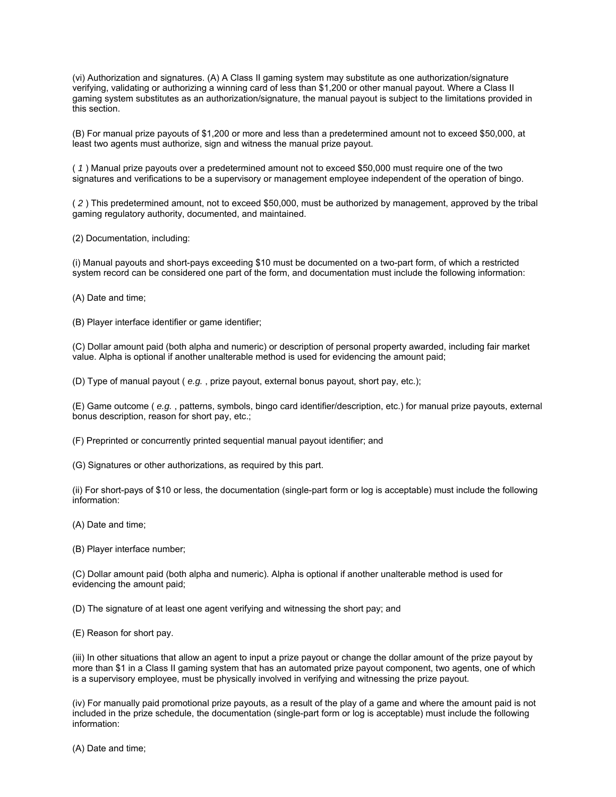(vi) Authorization and signatures. (A) A Class II gaming system may substitute as one authorization/signature verifying, validating or authorizing a winning card of less than \$1,200 or other manual payout. Where a Class II gaming system substitutes as an authorization/signature, the manual payout is subject to the limitations provided in this section.

(B) For manual prize payouts of \$1,200 or more and less than a predetermined amount not to exceed \$50,000, at least two agents must authorize, sign and witness the manual prize payout.

( *1* ) Manual prize payouts over a predetermined amount not to exceed \$50,000 must require one of the two signatures and verifications to be a supervisory or management employee independent of the operation of bingo.

( *2* ) This predetermined amount, not to exceed \$50,000, must be authorized by management, approved by the tribal gaming regulatory authority, documented, and maintained.

(2) Documentation, including:

(i) Manual payouts and short-pays exceeding \$10 must be documented on a two-part form, of which a restricted system record can be considered one part of the form, and documentation must include the following information:

(A) Date and time;

(B) Player interface identifier or game identifier;

(C) Dollar amount paid (both alpha and numeric) or description of personal property awarded, including fair market value. Alpha is optional if another unalterable method is used for evidencing the amount paid;

(D) Type of manual payout ( *e.g.* , prize payout, external bonus payout, short pay, etc.);

(E) Game outcome ( *e.g.* , patterns, symbols, bingo card identifier/description, etc.) for manual prize payouts, external bonus description, reason for short pay, etc.;

(F) Preprinted or concurrently printed sequential manual payout identifier; and

(G) Signatures or other authorizations, as required by this part.

(ii) For short-pays of \$10 or less, the documentation (single-part form or log is acceptable) must include the following information:

(A) Date and time;

(B) Player interface number;

(C) Dollar amount paid (both alpha and numeric). Alpha is optional if another unalterable method is used for evidencing the amount paid;

(D) The signature of at least one agent verifying and witnessing the short pay; and

(E) Reason for short pay.

(iii) In other situations that allow an agent to input a prize payout or change the dollar amount of the prize payout by more than \$1 in a Class II gaming system that has an automated prize payout component, two agents, one of which is a supervisory employee, must be physically involved in verifying and witnessing the prize payout.

(iv) For manually paid promotional prize payouts, as a result of the play of a game and where the amount paid is not included in the prize schedule, the documentation (single-part form or log is acceptable) must include the following information:

(A) Date and time;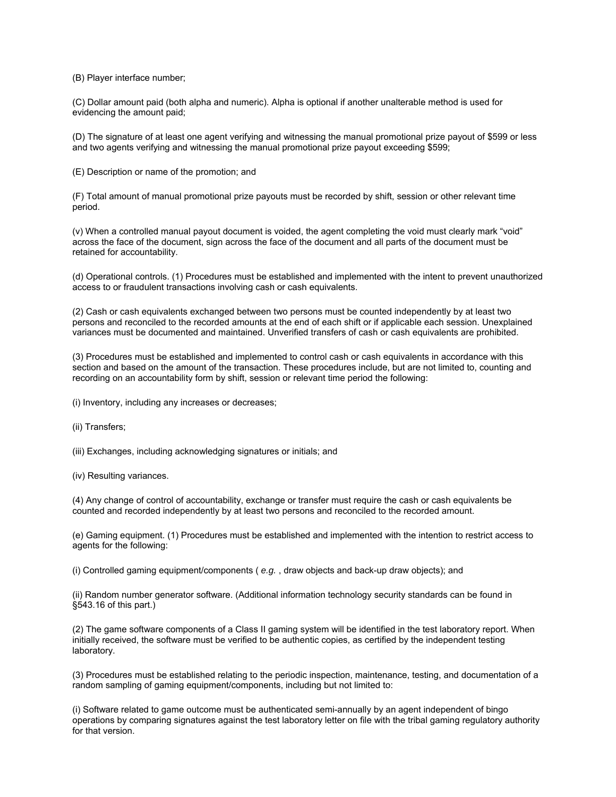(B) Player interface number;

(C) Dollar amount paid (both alpha and numeric). Alpha is optional if another unalterable method is used for evidencing the amount paid;

(D) The signature of at least one agent verifying and witnessing the manual promotional prize payout of \$599 or less and two agents verifying and witnessing the manual promotional prize payout exceeding \$599;

(E) Description or name of the promotion; and

(F) Total amount of manual promotional prize payouts must be recorded by shift, session or other relevant time period.

(v) When a controlled manual payout document is voided, the agent completing the void must clearly mark "void" across the face of the document, sign across the face of the document and all parts of the document must be retained for accountability.

(d) Operational controls. (1) Procedures must be established and implemented with the intent to prevent unauthorized access to or fraudulent transactions involving cash or cash equivalents.

(2) Cash or cash equivalents exchanged between two persons must be counted independently by at least two persons and reconciled to the recorded amounts at the end of each shift or if applicable each session. Unexplained variances must be documented and maintained. Unverified transfers of cash or cash equivalents are prohibited.

(3) Procedures must be established and implemented to control cash or cash equivalents in accordance with this section and based on the amount of the transaction. These procedures include, but are not limited to, counting and recording on an accountability form by shift, session or relevant time period the following:

(i) Inventory, including any increases or decreases;

(ii) Transfers;

(iii) Exchanges, including acknowledging signatures or initials; and

(iv) Resulting variances.

(4) Any change of control of accountability, exchange or transfer must require the cash or cash equivalents be counted and recorded independently by at least two persons and reconciled to the recorded amount.

(e) Gaming equipment. (1) Procedures must be established and implemented with the intention to restrict access to agents for the following:

(i) Controlled gaming equipment/components ( *e.g.* , draw objects and back-up draw objects); and

(ii) Random number generator software. (Additional information technology security standards can be found in §543.16 of this part.)

(2) The game software components of a Class II gaming system will be identified in the test laboratory report. When initially received, the software must be verified to be authentic copies, as certified by the independent testing laboratory.

(3) Procedures must be established relating to the periodic inspection, maintenance, testing, and documentation of a random sampling of gaming equipment/components, including but not limited to:

(i) Software related to game outcome must be authenticated semi-annually by an agent independent of bingo operations by comparing signatures against the test laboratory letter on file with the tribal gaming regulatory authority for that version.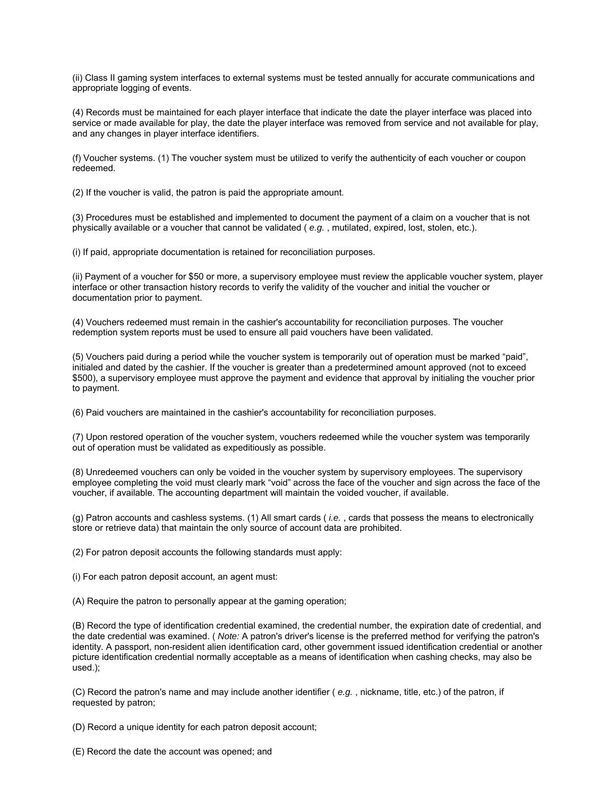(ii) Class II gaming system interfaces to external systems must be tested annually for accurate communications and appropriate logging of events.

(4) Records must be maintained for each player interface that indicate the date the player interface was placed into service or made available for play, the date the player interface was removed from service and not available for play, and any changes in player interface identifiers.

(f) Voucher systems. (1) The voucher system must be utilized to verify the authenticity of each voucher or coupon redeemed.

(2) If the voucher is valid, the patron is paid the appropriate amount.

(3) Procedures must be established and implemented to document the payment of a claim on a voucher that is not physically available or a voucher that cannot be validated ( *e.g.* , mutilated, expired, lost, stolen, etc.).

(i) If paid, appropriate documentation is retained for reconciliation purposes.

(ii) Payment of a voucher for \$50 or more, a supervisory employee must review the applicable voucher system, player interface or other transaction history records to verify the validity of the voucher and initial the voucher or documentation prior to payment.

(4) Vouchers redeemed must remain in the cashier's accountability for reconciliation purposes. The voucher redemption system reports must be used to ensure all paid vouchers have been validated.

(5) Vouchers paid during a period while the voucher system is temporarily out of operation must be marked "paid", initialed and dated by the cashier. If the voucher is greater than a predetermined amount approved (not to exceed \$500), a supervisory employee must approve the payment and evidence that approval by initialing the voucher prior to payment.

(6) Paid vouchers are maintained in the cashier's accountability for reconciliation purposes.

(7) Upon restored operation of the voucher system, vouchers redeemed while the voucher system was temporarily out of operation must be validated as expeditiously as possible.

(8) Unredeemed vouchers can only be voided in the voucher system by supervisory employees. The supervisory employee completing the void must clearly mark "void" across the face of the voucher and sign across the face of the voucher, if available. The accounting department will maintain the voided voucher, if available.

(g) Patron accounts and cashless systems. (1) All smart cards ( *i.e.* , cards that possess the means to electronically store or retrieve data) that maintain the only source of account data are prohibited.

(2) For patron deposit accounts the following standards must apply:

(i) For each patron deposit account, an agent must:

(A) Require the patron to personally appear at the gaming operation;

(B) Record the type of identification credential examined, the credential number, the expiration date of credential, and the date credential was examined. ( *Note:* A patron's driver's license is the preferred method for verifying the patron's identity. A passport, non-resident alien identification card, other government issued identification credential or another picture identification credential normally acceptable as a means of identification when cashing checks, may also be used.);

(C) Record the patron's name and may include another identifier ( *e.g.* , nickname, title, etc.) of the patron, if requested by patron;

(D) Record a unique identity for each patron deposit account;

(E) Record the date the account was opened; and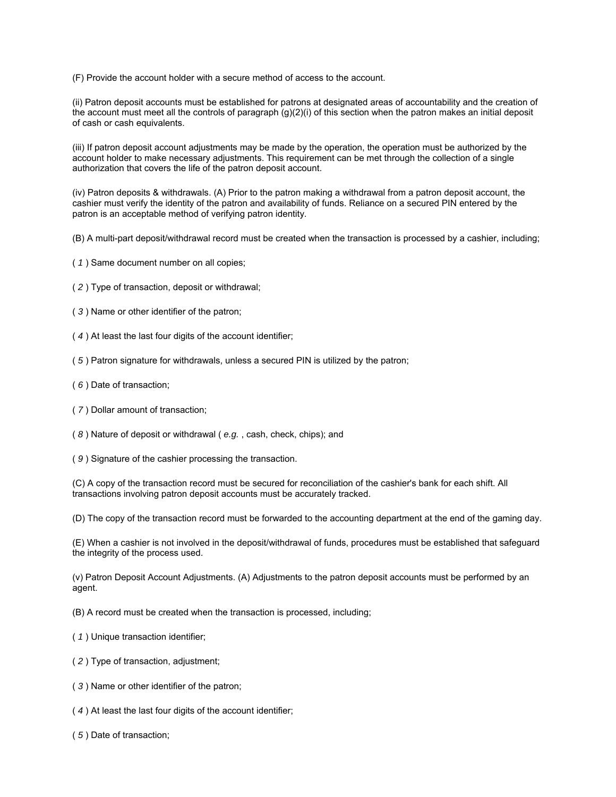(F) Provide the account holder with a secure method of access to the account.

(ii) Patron deposit accounts must be established for patrons at designated areas of accountability and the creation of the account must meet all the controls of paragraph (g)(2)(i) of this section when the patron makes an initial deposit of cash or cash equivalents.

(iii) If patron deposit account adjustments may be made by the operation, the operation must be authorized by the account holder to make necessary adjustments. This requirement can be met through the collection of a single authorization that covers the life of the patron deposit account.

(iv) Patron deposits & withdrawals. (A) Prior to the patron making a withdrawal from a patron deposit account, the cashier must verify the identity of the patron and availability of funds. Reliance on a secured PIN entered by the patron is an acceptable method of verifying patron identity.

(B) A multi-part deposit/withdrawal record must be created when the transaction is processed by a cashier, including;

- ( *1* ) Same document number on all copies;
- ( *2* ) Type of transaction, deposit or withdrawal;
- ( *3* ) Name or other identifier of the patron;
- ( *4* ) At least the last four digits of the account identifier;
- ( *5* ) Patron signature for withdrawals, unless a secured PIN is utilized by the patron;
- ( *6* ) Date of transaction;
- ( *7* ) Dollar amount of transaction;
- ( *8* ) Nature of deposit or withdrawal ( *e.g.* , cash, check, chips); and
- ( *9* ) Signature of the cashier processing the transaction.

(C) A copy of the transaction record must be secured for reconciliation of the cashier's bank for each shift. All transactions involving patron deposit accounts must be accurately tracked.

(D) The copy of the transaction record must be forwarded to the accounting department at the end of the gaming day.

(E) When a cashier is not involved in the deposit/withdrawal of funds, procedures must be established that safeguard the integrity of the process used.

(v) Patron Deposit Account Adjustments. (A) Adjustments to the patron deposit accounts must be performed by an agent.

(B) A record must be created when the transaction is processed, including;

- ( *1* ) Unique transaction identifier;
- ( *2* ) Type of transaction, adjustment;
- ( *3* ) Name or other identifier of the patron;
- ( *4* ) At least the last four digits of the account identifier;
- ( *5* ) Date of transaction;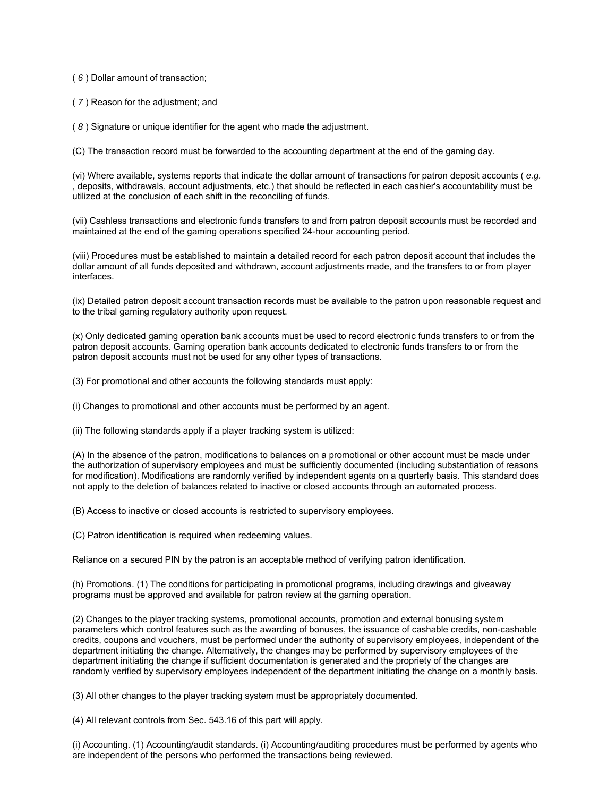( *6* ) Dollar amount of transaction;

( *7* ) Reason for the adjustment; and

( *8* ) Signature or unique identifier for the agent who made the adjustment.

(C) The transaction record must be forwarded to the accounting department at the end of the gaming day.

(vi) Where available, systems reports that indicate the dollar amount of transactions for patron deposit accounts ( *e.g.*  , deposits, withdrawals, account adjustments, etc.) that should be reflected in each cashier's accountability must be utilized at the conclusion of each shift in the reconciling of funds.

(vii) Cashless transactions and electronic funds transfers to and from patron deposit accounts must be recorded and maintained at the end of the gaming operations specified 24-hour accounting period.

(viii) Procedures must be established to maintain a detailed record for each patron deposit account that includes the dollar amount of all funds deposited and withdrawn, account adjustments made, and the transfers to or from player interfaces.

(ix) Detailed patron deposit account transaction records must be available to the patron upon reasonable request and to the tribal gaming regulatory authority upon request.

(x) Only dedicated gaming operation bank accounts must be used to record electronic funds transfers to or from the patron deposit accounts. Gaming operation bank accounts dedicated to electronic funds transfers to or from the patron deposit accounts must not be used for any other types of transactions.

(3) For promotional and other accounts the following standards must apply:

(i) Changes to promotional and other accounts must be performed by an agent.

(ii) The following standards apply if a player tracking system is utilized:

(A) In the absence of the patron, modifications to balances on a promotional or other account must be made under the authorization of supervisory employees and must be sufficiently documented (including substantiation of reasons for modification). Modifications are randomly verified by independent agents on a quarterly basis. This standard does not apply to the deletion of balances related to inactive or closed accounts through an automated process.

(B) Access to inactive or closed accounts is restricted to supervisory employees.

(C) Patron identification is required when redeeming values.

Reliance on a secured PIN by the patron is an acceptable method of verifying patron identification.

(h) Promotions. (1) The conditions for participating in promotional programs, including drawings and giveaway programs must be approved and available for patron review at the gaming operation.

(2) Changes to the player tracking systems, promotional accounts, promotion and external bonusing system parameters which control features such as the awarding of bonuses, the issuance of cashable credits, non-cashable credits, coupons and vouchers, must be performed under the authority of supervisory employees, independent of the department initiating the change. Alternatively, the changes may be performed by supervisory employees of the department initiating the change if sufficient documentation is generated and the propriety of the changes are randomly verified by supervisory employees independent of the department initiating the change on a monthly basis.

(3) All other changes to the player tracking system must be appropriately documented.

(4) All relevant controls from Sec. 543.16 of this part will apply.

(i) Accounting. (1) Accounting/audit standards. (i) Accounting/auditing procedures must be performed by agents who are independent of the persons who performed the transactions being reviewed.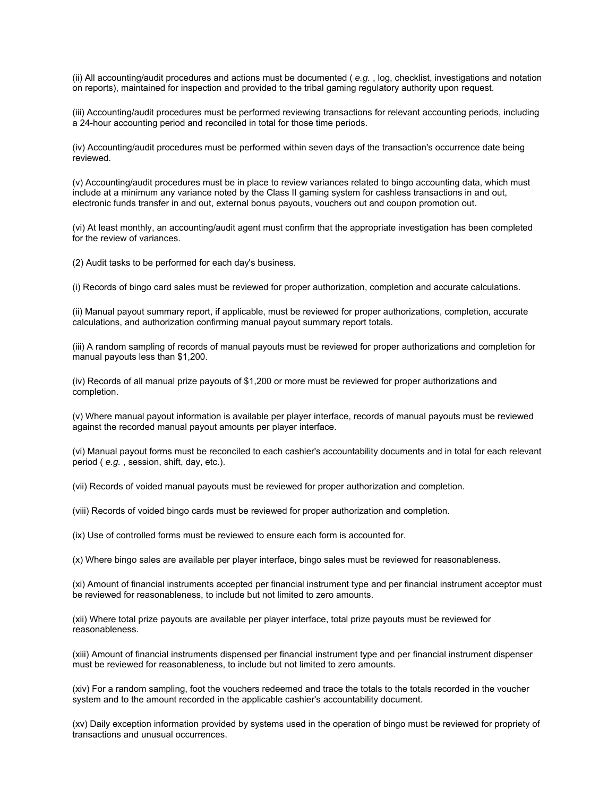(ii) All accounting/audit procedures and actions must be documented ( *e.g.* , log, checklist, investigations and notation on reports), maintained for inspection and provided to the tribal gaming regulatory authority upon request.

(iii) Accounting/audit procedures must be performed reviewing transactions for relevant accounting periods, including a 24-hour accounting period and reconciled in total for those time periods.

(iv) Accounting/audit procedures must be performed within seven days of the transaction's occurrence date being reviewed.

(v) Accounting/audit procedures must be in place to review variances related to bingo accounting data, which must include at a minimum any variance noted by the Class II gaming system for cashless transactions in and out, electronic funds transfer in and out, external bonus payouts, vouchers out and coupon promotion out.

(vi) At least monthly, an accounting/audit agent must confirm that the appropriate investigation has been completed for the review of variances.

(2) Audit tasks to be performed for each day's business.

(i) Records of bingo card sales must be reviewed for proper authorization, completion and accurate calculations.

(ii) Manual payout summary report, if applicable, must be reviewed for proper authorizations, completion, accurate calculations, and authorization confirming manual payout summary report totals.

(iii) A random sampling of records of manual payouts must be reviewed for proper authorizations and completion for manual payouts less than \$1,200.

(iv) Records of all manual prize payouts of \$1,200 or more must be reviewed for proper authorizations and completion.

(v) Where manual payout information is available per player interface, records of manual payouts must be reviewed against the recorded manual payout amounts per player interface.

(vi) Manual payout forms must be reconciled to each cashier's accountability documents and in total for each relevant period ( *e.g.* , session, shift, day, etc.).

(vii) Records of voided manual payouts must be reviewed for proper authorization and completion.

(viii) Records of voided bingo cards must be reviewed for proper authorization and completion.

(ix) Use of controlled forms must be reviewed to ensure each form is accounted for.

(x) Where bingo sales are available per player interface, bingo sales must be reviewed for reasonableness.

(xi) Amount of financial instruments accepted per financial instrument type and per financial instrument acceptor must be reviewed for reasonableness, to include but not limited to zero amounts.

(xii) Where total prize payouts are available per player interface, total prize payouts must be reviewed for reasonableness.

(xiii) Amount of financial instruments dispensed per financial instrument type and per financial instrument dispenser must be reviewed for reasonableness, to include but not limited to zero amounts.

(xiv) For a random sampling, foot the vouchers redeemed and trace the totals to the totals recorded in the voucher system and to the amount recorded in the applicable cashier's accountability document.

(xv) Daily exception information provided by systems used in the operation of bingo must be reviewed for propriety of transactions and unusual occurrences.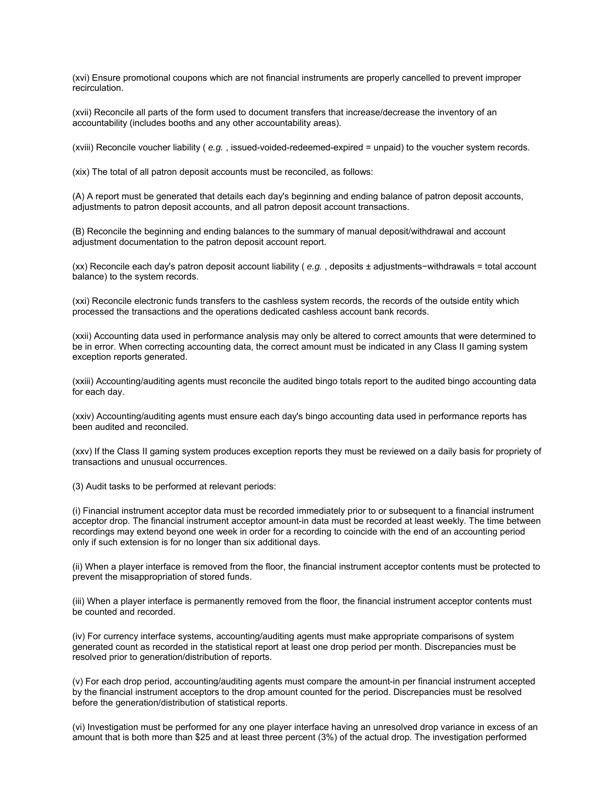(xvi) Ensure promotional coupons which are not financial instruments are properly cancelled to prevent improper recirculation.

(xvii) Reconcile all parts of the form used to document transfers that increase/decrease the inventory of an accountability (includes booths and any other accountability areas).

(xviii) Reconcile voucher liability ( *e.g.* , issued-voided-redeemed-expired = unpaid) to the voucher system records.

(xix) The total of all patron deposit accounts must be reconciled, as follows:

(A) A report must be generated that details each day's beginning and ending balance of patron deposit accounts, adjustments to patron deposit accounts, and all patron deposit account transactions.

(B) Reconcile the beginning and ending balances to the summary of manual deposit/withdrawal and account adjustment documentation to the patron deposit account report.

(xx) Reconcile each day's patron deposit account liability ( *e.g.* , deposits ± adjustments−withdrawals = total account balance) to the system records.

(xxi) Reconcile electronic funds transfers to the cashless system records, the records of the outside entity which processed the transactions and the operations dedicated cashless account bank records.

(xxii) Accounting data used in performance analysis may only be altered to correct amounts that were determined to be in error. When correcting accounting data, the correct amount must be indicated in any Class II gaming system exception reports generated.

(xxiii) Accounting/auditing agents must reconcile the audited bingo totals report to the audited bingo accounting data for each day.

(xxiv) Accounting/auditing agents must ensure each day's bingo accounting data used in performance reports has been audited and reconciled.

(xxv) If the Class II gaming system produces exception reports they must be reviewed on a daily basis for propriety of transactions and unusual occurrences.

(3) Audit tasks to be performed at relevant periods:

(i) Financial instrument acceptor data must be recorded immediately prior to or subsequent to a financial instrument acceptor drop. The financial instrument acceptor amount-in data must be recorded at least weekly. The time between recordings may extend beyond one week in order for a recording to coincide with the end of an accounting period only if such extension is for no longer than six additional days.

(ii) When a player interface is removed from the floor, the financial instrument acceptor contents must be protected to prevent the misappropriation of stored funds.

(iii) When a player interface is permanently removed from the floor, the financial instrument acceptor contents must be counted and recorded.

(iv) For currency interface systems, accounting/auditing agents must make appropriate comparisons of system generated count as recorded in the statistical report at least one drop period per month. Discrepancies must be resolved prior to generation/distribution of reports.

(v) For each drop period, accounting/auditing agents must compare the amount-in per financial instrument accepted by the financial instrument acceptors to the drop amount counted for the period. Discrepancies must be resolved before the generation/distribution of statistical reports.

(vi) Investigation must be performed for any one player interface having an unresolved drop variance in excess of an amount that is both more than \$25 and at least three percent (3%) of the actual drop. The investigation performed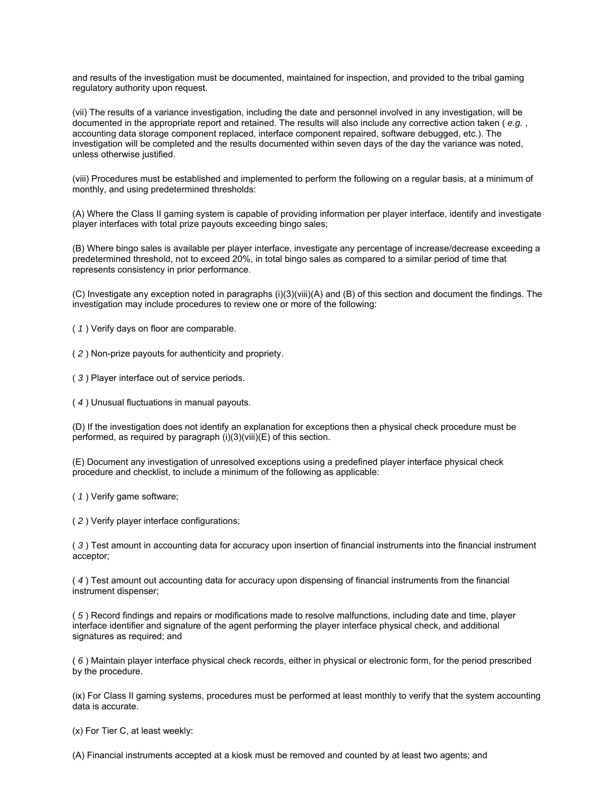and results of the investigation must be documented, maintained for inspection, and provided to the tribal gaming regulatory authority upon request.

(vii) The results of a variance investigation, including the date and personnel involved in any investigation, will be documented in the appropriate report and retained. The results will also include any corrective action taken ( *e.g.* , accounting data storage component replaced, interface component repaired, software debugged, etc.). The investigation will be completed and the results documented within seven days of the day the variance was noted, unless otherwise justified.

(viii) Procedures must be established and implemented to perform the following on a regular basis, at a minimum of monthly, and using predetermined thresholds:

(A) Where the Class II gaming system is capable of providing information per player interface, identify and investigate player interfaces with total prize payouts exceeding bingo sales;

(B) Where bingo sales is available per player interface, investigate any percentage of increase/decrease exceeding a predetermined threshold, not to exceed 20%, in total bingo sales as compared to a similar period of time that represents consistency in prior performance.

(C) Investigate any exception noted in paragraphs (i)(3)(viii)(A) and (B) of this section and document the findings. The investigation may include procedures to review one or more of the following:

( *1* ) Verify days on floor are comparable.

( *2* ) Non-prize payouts for authenticity and propriety.

( *3* ) Player interface out of service periods.

( *4* ) Unusual fluctuations in manual payouts.

(D) If the investigation does not identify an explanation for exceptions then a physical check procedure must be performed, as required by paragraph (i)(3)(viii)(E) of this section.

(E) Document any investigation of unresolved exceptions using a predefined player interface physical check procedure and checklist, to include a minimum of the following as applicable:

( *1* ) Verify game software;

( *2* ) Verify player interface configurations;

( *3* ) Test amount in accounting data for accuracy upon insertion of financial instruments into the financial instrument acceptor;

( *4* ) Test amount out accounting data for accuracy upon dispensing of financial instruments from the financial instrument dispenser;

( *5* ) Record findings and repairs or modifications made to resolve malfunctions, including date and time, player interface identifier and signature of the agent performing the player interface physical check, and additional signatures as required; and

( *6* ) Maintain player interface physical check records, either in physical or electronic form, for the period prescribed by the procedure.

(ix) For Class II gaming systems, procedures must be performed at least monthly to verify that the system accounting data is accurate.

(x) For Tier C, at least weekly:

(A) Financial instruments accepted at a kiosk must be removed and counted by at least two agents; and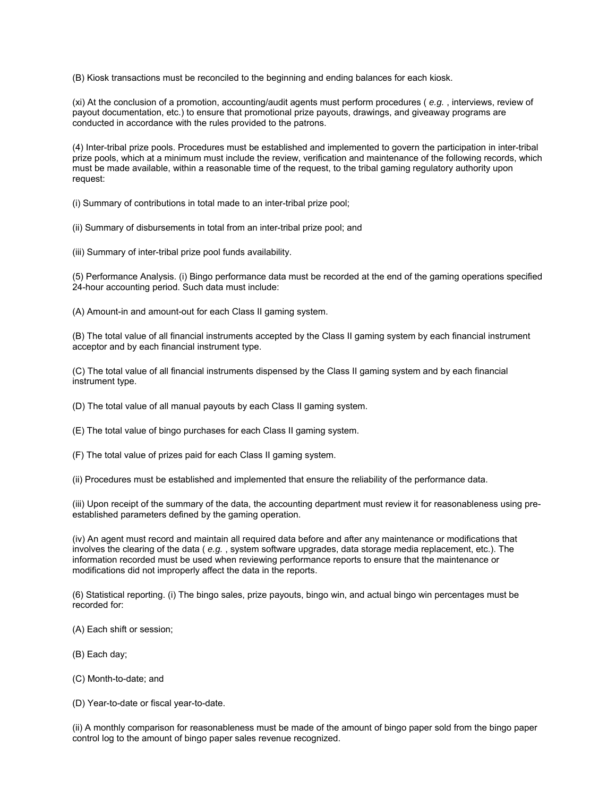(B) Kiosk transactions must be reconciled to the beginning and ending balances for each kiosk.

(xi) At the conclusion of a promotion, accounting/audit agents must perform procedures ( *e.g.* , interviews, review of payout documentation, etc.) to ensure that promotional prize payouts, drawings, and giveaway programs are conducted in accordance with the rules provided to the patrons.

(4) Inter-tribal prize pools. Procedures must be established and implemented to govern the participation in inter-tribal prize pools, which at a minimum must include the review, verification and maintenance of the following records, which must be made available, within a reasonable time of the request, to the tribal gaming regulatory authority upon request:

(i) Summary of contributions in total made to an inter-tribal prize pool;

(ii) Summary of disbursements in total from an inter-tribal prize pool; and

(iii) Summary of inter-tribal prize pool funds availability.

(5) Performance Analysis. (i) Bingo performance data must be recorded at the end of the gaming operations specified 24-hour accounting period. Such data must include:

(A) Amount-in and amount-out for each Class II gaming system.

(B) The total value of all financial instruments accepted by the Class II gaming system by each financial instrument acceptor and by each financial instrument type.

(C) The total value of all financial instruments dispensed by the Class II gaming system and by each financial instrument type.

(D) The total value of all manual payouts by each Class II gaming system.

(E) The total value of bingo purchases for each Class II gaming system.

(F) The total value of prizes paid for each Class II gaming system.

(ii) Procedures must be established and implemented that ensure the reliability of the performance data.

(iii) Upon receipt of the summary of the data, the accounting department must review it for reasonableness using preestablished parameters defined by the gaming operation.

(iv) An agent must record and maintain all required data before and after any maintenance or modifications that involves the clearing of the data ( *e.g.* , system software upgrades, data storage media replacement, etc.). The information recorded must be used when reviewing performance reports to ensure that the maintenance or modifications did not improperly affect the data in the reports.

(6) Statistical reporting. (i) The bingo sales, prize payouts, bingo win, and actual bingo win percentages must be recorded for:

(A) Each shift or session;

(B) Each day;

(C) Month-to-date; and

(D) Year-to-date or fiscal year-to-date.

(ii) A monthly comparison for reasonableness must be made of the amount of bingo paper sold from the bingo paper control log to the amount of bingo paper sales revenue recognized.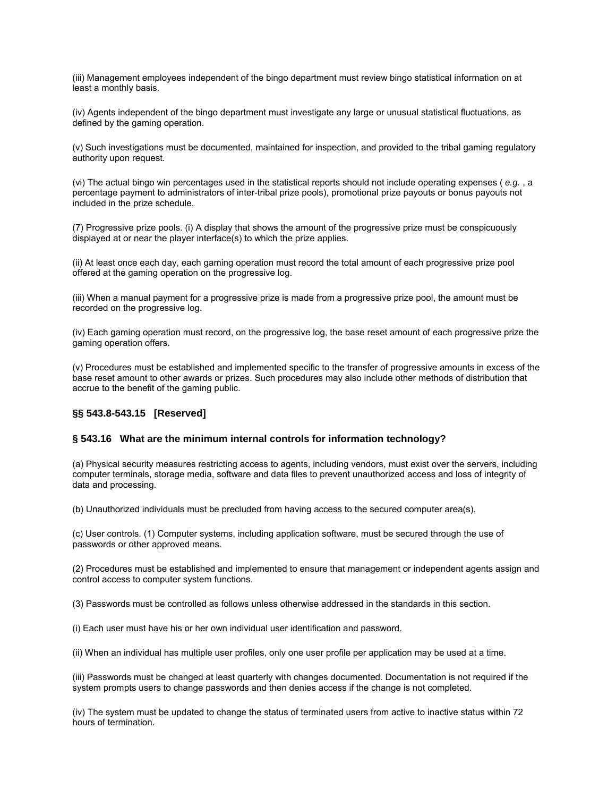(iii) Management employees independent of the bingo department must review bingo statistical information on at least a monthly basis.

(iv) Agents independent of the bingo department must investigate any large or unusual statistical fluctuations, as defined by the gaming operation.

(v) Such investigations must be documented, maintained for inspection, and provided to the tribal gaming regulatory authority upon request.

(vi) The actual bingo win percentages used in the statistical reports should not include operating expenses ( *e.g.* , a percentage payment to administrators of inter-tribal prize pools), promotional prize payouts or bonus payouts not included in the prize schedule.

(7) Progressive prize pools. (i) A display that shows the amount of the progressive prize must be conspicuously displayed at or near the player interface(s) to which the prize applies.

(ii) At least once each day, each gaming operation must record the total amount of each progressive prize pool offered at the gaming operation on the progressive log.

(iii) When a manual payment for a progressive prize is made from a progressive prize pool, the amount must be recorded on the progressive log.

(iv) Each gaming operation must record, on the progressive log, the base reset amount of each progressive prize the gaming operation offers.

(v) Procedures must be established and implemented specific to the transfer of progressive amounts in excess of the base reset amount to other awards or prizes. Such procedures may also include other methods of distribution that accrue to the benefit of the gaming public.

## **§§ 543.8-543.15 [Reserved]**

#### **§ 543.16 What are the minimum internal controls for information technology?**

(a) Physical security measures restricting access to agents, including vendors, must exist over the servers, including computer terminals, storage media, software and data files to prevent unauthorized access and loss of integrity of data and processing.

(b) Unauthorized individuals must be precluded from having access to the secured computer area(s).

(c) User controls. (1) Computer systems, including application software, must be secured through the use of passwords or other approved means.

(2) Procedures must be established and implemented to ensure that management or independent agents assign and control access to computer system functions.

(3) Passwords must be controlled as follows unless otherwise addressed in the standards in this section.

(i) Each user must have his or her own individual user identification and password.

(ii) When an individual has multiple user profiles, only one user profile per application may be used at a time.

(iii) Passwords must be changed at least quarterly with changes documented. Documentation is not required if the system prompts users to change passwords and then denies access if the change is not completed.

(iv) The system must be updated to change the status of terminated users from active to inactive status within 72 hours of termination.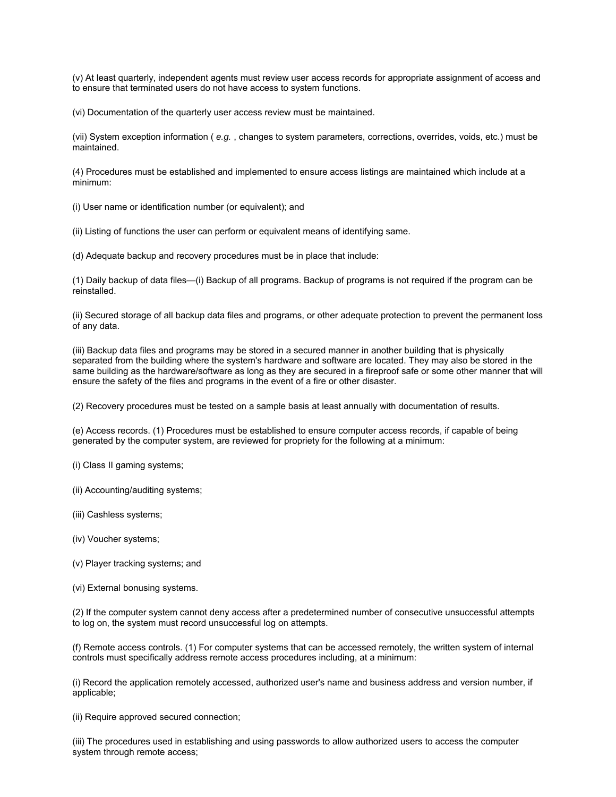(v) At least quarterly, independent agents must review user access records for appropriate assignment of access and to ensure that terminated users do not have access to system functions.

(vi) Documentation of the quarterly user access review must be maintained.

(vii) System exception information ( *e.g.* , changes to system parameters, corrections, overrides, voids, etc.) must be maintained.

(4) Procedures must be established and implemented to ensure access listings are maintained which include at a minimum:

(i) User name or identification number (or equivalent); and

(ii) Listing of functions the user can perform or equivalent means of identifying same.

(d) Adequate backup and recovery procedures must be in place that include:

(1) Daily backup of data files—(i) Backup of all programs. Backup of programs is not required if the program can be reinstalled.

(ii) Secured storage of all backup data files and programs, or other adequate protection to prevent the permanent loss of any data.

(iii) Backup data files and programs may be stored in a secured manner in another building that is physically separated from the building where the system's hardware and software are located. They may also be stored in the same building as the hardware/software as long as they are secured in a fireproof safe or some other manner that will ensure the safety of the files and programs in the event of a fire or other disaster.

(2) Recovery procedures must be tested on a sample basis at least annually with documentation of results.

(e) Access records. (1) Procedures must be established to ensure computer access records, if capable of being generated by the computer system, are reviewed for propriety for the following at a minimum:

(i) Class II gaming systems;

(ii) Accounting/auditing systems;

(iii) Cashless systems;

(iv) Voucher systems;

(v) Player tracking systems; and

(vi) External bonusing systems.

(2) If the computer system cannot deny access after a predetermined number of consecutive unsuccessful attempts to log on, the system must record unsuccessful log on attempts.

(f) Remote access controls. (1) For computer systems that can be accessed remotely, the written system of internal controls must specifically address remote access procedures including, at a minimum:

(i) Record the application remotely accessed, authorized user's name and business address and version number, if applicable;

(ii) Require approved secured connection;

(iii) The procedures used in establishing and using passwords to allow authorized users to access the computer system through remote access;